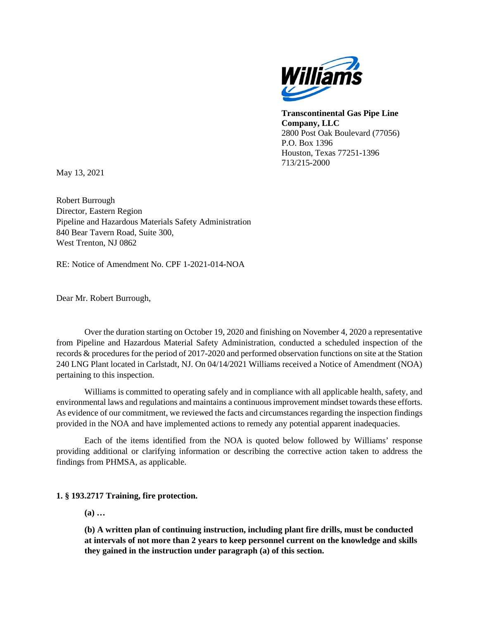

**Transcontinental Gas Pipe Line Company, LLC** 2800 Post Oak Boulevard (77056) P.O. Box 1396 Houston, Texas 77251-1396 713/215-2000

May 13, 2021

Robert Burrough Director, Eastern Region Pipeline and Hazardous Materials Safety Administration 840 Bear Tavern Road, Suite 300, West Trenton, NJ 0862

RE: Notice of Amendment No. CPF 1-2021-014-NOA

Dear Mr. Robert Burrough,

Over the duration starting on October 19, 2020 and finishing on November 4, 2020 a representative from Pipeline and Hazardous Material Safety Administration, conducted a scheduled inspection of the records & procedures for the period of 2017-2020 and performed observation functions on site at the Station 240 LNG Plant located in Carlstadt, NJ. On 04/14/2021 Williams received a Notice of Amendment (NOA) pertaining to this inspection.

Williams is committed to operating safely and in compliance with all applicable health, safety, and environmental laws and regulations and maintains a continuous improvement mindset towards these efforts. As evidence of our commitment, we reviewed the facts and circumstances regarding the inspection findings provided in the NOA and have implemented actions to remedy any potential apparent inadequacies.

Each of the items identified from the NOA is quoted below followed by Williams' response providing additional or clarifying information or describing the corrective action taken to address the findings from PHMSA, as applicable.

### **1. § 193.2717 Training, fire protection.**

**(a) …** 

**(b) A written plan of continuing instruction, including plant fire drills, must be conducted at intervals of not more than 2 years to keep personnel current on the knowledge and skills they gained in the instruction under paragraph (a) of this section.**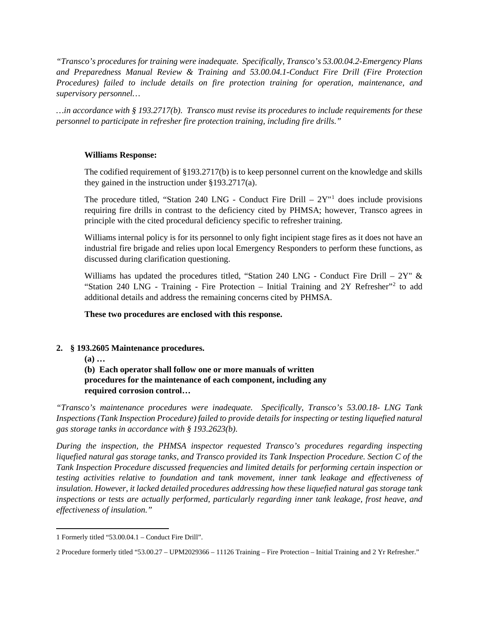*"Transco's procedures for training were inadequate. Specifically, Transco's 53.00.04.2-Emergency Plans and Preparedness Manual Review & Training and 53.00.04.1-Conduct Fire Drill (Fire Protection Procedures) failed to include details on fire protection training for operation, maintenance, and supervisory personnel…* 

*…in accordance with § 193.2717(b). Transco must revise its procedures to include requirements for these personnel to participate in refresher fire protection training, including fire drills."*

### **Williams Response:**

The codified requirement of §193.2717(b) is to keep personnel current on the knowledge and skills they gained in the instruction under §193.2717(a).

The procedure titled, "Station 240 LNG - Conduct Fire Drill  $-2Y''$ <sup>1</sup> does include provisions requiring fire drills in contrast to the deficiency cited by PHMSA; however, Transco agrees in principle with the cited procedural deficiency specific to refresher training.

Williams internal policy is for its personnel to only fight incipient stage fires as it does not have an industrial fire brigade and relies upon local Emergency Responders to perform these functions, as discussed during clarification questioning.

Williams has updated the procedures titled, "Station 240 LNG - Conduct Fire Drill –  $2Y''$  & "Station 240 LNG - Training - Fire Protection – Initial Training and 2Y Refresher"2 to add additional details and address the remaining concerns cited by PHMSA.

### **These two procedures are enclosed with this response.**

# **2. § 193.2605 Maintenance procedures.**

**(a) …** 

**(b) Each operator shall follow one or more manuals of written procedures for the maintenance of each component, including any required corrosion control…**

*"Transco's maintenance procedures were inadequate. Specifically, Transco's 53.00.18- LNG Tank Inspections (Tank Inspection Procedure) failed to provide details for inspecting or testing liquefied natural gas storage tanks in accordance with § 193.2623(b).*

*During the inspection, the PHMSA inspector requested Transco's procedures regarding inspecting liquefied natural gas storage tanks, and Transco provided its Tank Inspection Procedure. Section C of the Tank Inspection Procedure discussed frequencies and limited details for performing certain inspection or testing activities relative to foundation and tank movement, inner tank leakage and effectiveness of insulation. However, it lacked detailed procedures addressing how these liquefied natural gas storage tank inspections or tests are actually performed, particularly regarding inner tank leakage, frost heave, and effectiveness of insulation."*

<sup>1</sup> Formerly titled "53.00.04.1 – Conduct Fire Drill".

<sup>2</sup> Procedure formerly titled "53.00.27 – UPM2029366 – 11126 Training – Fire Protection – Initial Training and 2 Yr Refresher."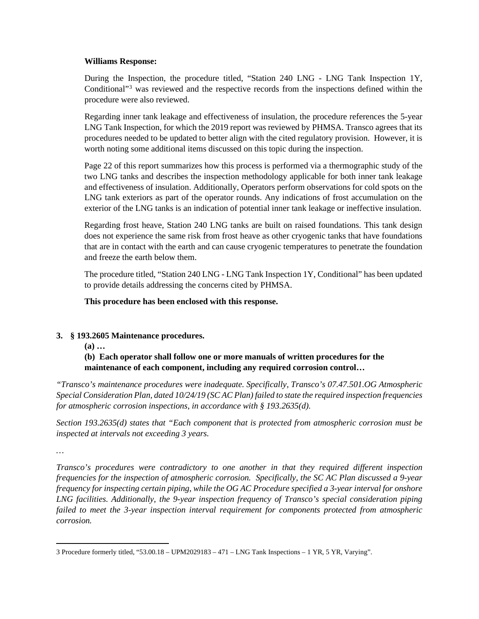### **Williams Response:**

During the Inspection, the procedure titled, "Station 240 LNG - LNG Tank Inspection 1Y, Conditional"3 was reviewed and the respective records from the inspections defined within the procedure were also reviewed.

Regarding inner tank leakage and effectiveness of insulation, the procedure references the 5-year LNG Tank Inspection, for which the 2019 report was reviewed by PHMSA. Transco agrees that its procedures needed to be updated to better align with the cited regulatory provision. However, it is worth noting some additional items discussed on this topic during the inspection.

Page 22 of this report summarizes how this process is performed via a thermographic study of the two LNG tanks and describes the inspection methodology applicable for both inner tank leakage and effectiveness of insulation. Additionally, Operators perform observations for cold spots on the LNG tank exteriors as part of the operator rounds. Any indications of frost accumulation on the exterior of the LNG tanks is an indication of potential inner tank leakage or ineffective insulation.

Regarding frost heave, Station 240 LNG tanks are built on raised foundations. This tank design does not experience the same risk from frost heave as other cryogenic tanks that have foundations that are in contact with the earth and can cause cryogenic temperatures to penetrate the foundation and freeze the earth below them.

The procedure titled, "Station 240 LNG - LNG Tank Inspection 1Y, Conditional" has been updated to provide details addressing the concerns cited by PHMSA.

### **This procedure has been enclosed with this response.**

### **3. § 193.2605 Maintenance procedures.**

**(a) …** 

# **(b) Each operator shall follow one or more manuals of written procedures for the maintenance of each component, including any required corrosion control…**

*"Transco's maintenance procedures were inadequate. Specifically, Transco's 07.47.501.OG Atmospheric Special Consideration Plan, dated 10/24/19 (SC AC Plan) failed to state the required inspection frequencies for atmospheric corrosion inspections, in accordance with § 193.2635(d).* 

*Section 193.2635(d) states that "Each component that is protected from atmospheric corrosion must be inspected at intervals not exceeding 3 years.*

*…*

*Transco's procedures were contradictory to one another in that they required different inspection frequencies for the inspection of atmospheric corrosion. Specifically, the SC AC Plan discussed a 9-year frequency for inspecting certain piping, while the OG AC Procedure specified a 3-year interval for onshore LNG facilities. Additionally, the 9-year inspection frequency of Transco's special consideration piping failed to meet the 3-year inspection interval requirement for components protected from atmospheric corrosion.* 

<sup>3</sup> Procedure formerly titled, "53.00.18 – UPM2029183 – 471 – LNG Tank Inspections – 1 YR, 5 YR, Varying".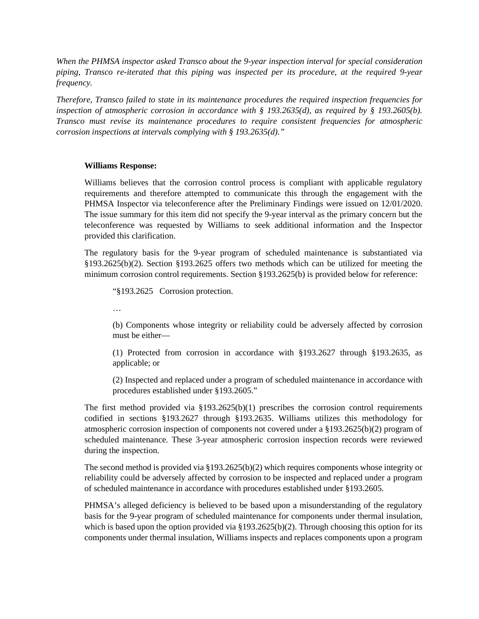*When the PHMSA inspector asked Transco about the 9-year inspection interval for special consideration piping, Transco re-iterated that this piping was inspected per its procedure, at the required 9-year frequency.* 

*Therefore, Transco failed to state in its maintenance procedures the required inspection frequencies for inspection of atmospheric corrosion in accordance with § 193.2635(d), as required by § 193.2605(b). Transco must revise its maintenance procedures to require consistent frequencies for atmospheric corrosion inspections at intervals complying with § 193.2635(d)."*

#### **Williams Response:**

Williams believes that the corrosion control process is compliant with applicable regulatory requirements and therefore attempted to communicate this through the engagement with the PHMSA Inspector via teleconference after the Preliminary Findings were issued on 12/01/2020. The issue summary for this item did not specify the 9-year interval as the primary concern but the teleconference was requested by Williams to seek additional information and the Inspector provided this clarification.

The regulatory basis for the 9-year program of scheduled maintenance is substantiated via §193.2625(b)(2). Section §193.2625 offers two methods which can be utilized for meeting the minimum corrosion control requirements. Section §193.2625(b) is provided below for reference:

"§193.2625 Corrosion protection.

…

(b) Components whose integrity or reliability could be adversely affected by corrosion must be either—

(1) Protected from corrosion in accordance with §193.2627 through §193.2635, as applicable; or

(2) Inspected and replaced under a program of scheduled maintenance in accordance with procedures established under §193.2605."

The first method provided via  $\S 193.2625(b)(1)$  prescribes the corrosion control requirements codified in sections §193.2627 through §193.2635. Williams utilizes this methodology for atmospheric corrosion inspection of components not covered under a §193.2625(b)(2) program of scheduled maintenance. These 3-year atmospheric corrosion inspection records were reviewed during the inspection.

The second method is provided via §193.2625(b)(2) which requires components whose integrity or reliability could be adversely affected by corrosion to be inspected and replaced under a program of scheduled maintenance in accordance with procedures established under §193.2605.

PHMSA's alleged deficiency is believed to be based upon a misunderstanding of the regulatory basis for the 9-year program of scheduled maintenance for components under thermal insulation, which is based upon the option provided via  $\S 193.2625(b)(2)$ . Through choosing this option for its components under thermal insulation, Williams inspects and replaces components upon a program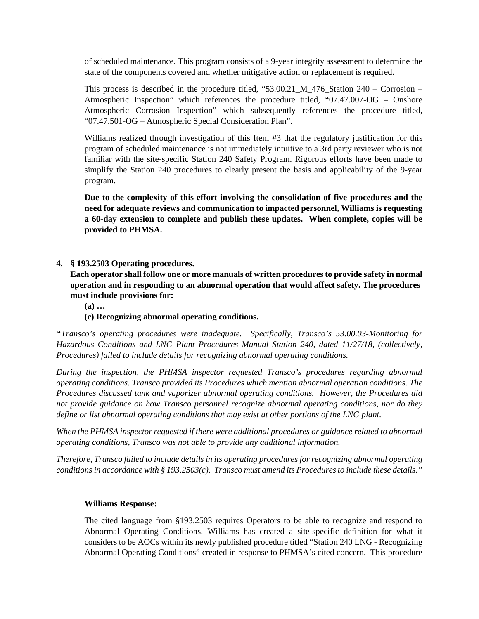of scheduled maintenance. This program consists of a 9-year integrity assessment to determine the state of the components covered and whether mitigative action or replacement is required.

This process is described in the procedure titled, "53.00.21\_M\_476\_Station 240 – Corrosion – Atmospheric Inspection" which references the procedure titled, "07.47.007-OG – Onshore Atmospheric Corrosion Inspection" which subsequently references the procedure titled, "07.47.501-OG – Atmospheric Special Consideration Plan".

Williams realized through investigation of this Item #3 that the regulatory justification for this program of scheduled maintenance is not immediately intuitive to a 3rd party reviewer who is not familiar with the site-specific Station 240 Safety Program. Rigorous efforts have been made to simplify the Station 240 procedures to clearly present the basis and applicability of the 9-year program.

**Due to the complexity of this effort involving the consolidation of five procedures and the need for adequate reviews and communication to impacted personnel, Williams is requesting a 60-day extension to complete and publish these updates. When complete, copies will be provided to PHMSA.** 

### **4. § 193.2503 Operating procedures.**

**Each operator shall follow one or more manuals of written procedures to provide safety in normal operation and in responding to an abnormal operation that would affect safety. The procedures must include provisions for:** 

**(a) …** 

### **(c) Recognizing abnormal operating conditions.**

*"Transco's operating procedures were inadequate. Specifically, Transco's 53.00.03-Monitoring for Hazardous Conditions and LNG Plant Procedures Manual Station 240, dated 11/27/18, (collectively, Procedures) failed to include details for recognizing abnormal operating conditions.* 

*During the inspection, the PHMSA inspector requested Transco's procedures regarding abnormal operating conditions. Transco provided its Procedures which mention abnormal operation conditions. The Procedures discussed tank and vaporizer abnormal operating conditions. However, the Procedures did not provide guidance on how Transco personnel recognize abnormal operating conditions, nor do they define or list abnormal operating conditions that may exist at other portions of the LNG plant.*

*When the PHMSA inspector requested if there were additional procedures or guidance related to abnormal operating conditions, Transco was not able to provide any additional information.* 

*Therefore, Transco failed to include details in its operating procedures for recognizing abnormal operating conditions in accordance with § 193.2503(c). Transco must amend its Procedures to include these details."*

### **Williams Response:**

The cited language from §193.2503 requires Operators to be able to recognize and respond to Abnormal Operating Conditions. Williams has created a site-specific definition for what it considers to be AOCs within its newly published procedure titled "Station 240 LNG - Recognizing Abnormal Operating Conditions" created in response to PHMSA's cited concern. This procedure